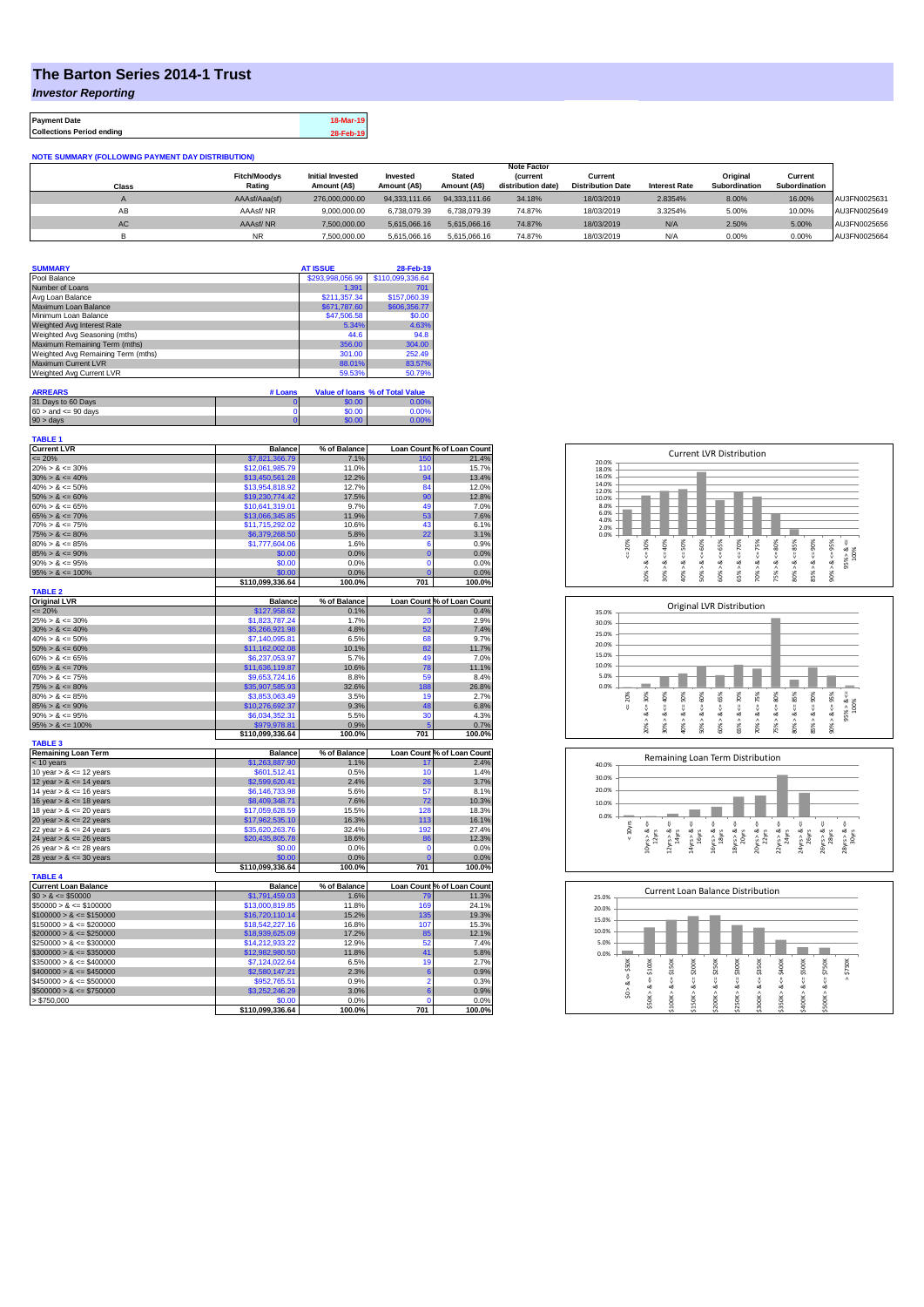## **The Barton Series 2014-1 Trust**

*Investor Reporting*

**Payment Date 18-Mar-19 Collections Period ending 28-Feb-19**

| <b>NOTE SUMMARY (FOLLOWING PAYMENT DAY DISTRIBUTION)</b> |                     |                         |               |               |                    |                          |                      |               |               |              |
|----------------------------------------------------------|---------------------|-------------------------|---------------|---------------|--------------------|--------------------------|----------------------|---------------|---------------|--------------|
|                                                          | <b>Note Factor</b>  |                         |               |               |                    |                          |                      |               |               |              |
|                                                          | <b>Fitch/Moodys</b> | <b>Initial Invested</b> | Invested      | <b>Stated</b> | <b>Current</b>     | Current                  |                      | Original      | Current       |              |
| Class                                                    | Rating              | Amount (A\$)            | Amount (A\$)  | Amount (A\$)  | distribution date) | <b>Distribution Date</b> | <b>Interest Rate</b> | Subordination | Subordination |              |
| $\mathsf{M}$                                             | AAAsf/Aaa(sf)       | 276,000,000,00          | 94.333.111.66 | 94.333.111.66 | 34.18%             | 18/03/2019               | 2.8354%              | 8.00%         | 16.00%        | AU3FN0025631 |
| AB                                                       | AAAsf/NR            | 9.000.000.00            | 6.738.079.39  | 6.738.079.39  | 74.87%             | 18/03/2019               | 3.3254%              | 5.00%         | 10.00%        | AU3FN0025649 |
| AC                                                       | AAAsf/NR            | 7.500.000.00            | 5.615.066.16  | 5.615.066.16  | 74.87%             | 18/03/2019               | N/A                  | 2.50%         | 5.00%         | AU3FN0025656 |
|                                                          | <b>NR</b>           | 7.500.000.00            | 5.615.066.16  | 5.615.066.16  | 74.87%             | 18/03/2019               | N/A                  | 0.00%         | 0.00%         | AU3FN0025664 |

| <b>SUMMARY</b>                     |         | <b>AT ISSUE</b>  | 28-Feb-19                       |
|------------------------------------|---------|------------------|---------------------------------|
| Pool Balance                       |         | \$293.998.056.99 | \$110.099.336.64                |
| Number of Loans                    |         | 1.391            | 701                             |
| Avg Loan Balance                   |         | \$211.357.34     | \$157,060.39                    |
| Maximum Loan Balance               |         | \$671,787.60     | \$606,356,77                    |
| Minimum Loan Balance               |         | \$47,506.58      | \$0.00                          |
| Weighted Avg Interest Rate         |         | 5.34%            | 4.63%                           |
| Weighted Avg Seasoning (mths)      |         | 44.6             | 94.8                            |
| Maximum Remaining Term (mths)      |         | 356.00           | 304.00                          |
| Weighted Avg Remaining Term (mths) |         | 301.00           | 252.49                          |
| <b>Maximum Current LVR</b>         |         | 88.01%           | 83.57%                          |
| Weighted Avg Current LVR           |         | 59.53%           | 50.79%                          |
|                                    |         |                  |                                 |
| <b>ARREARS</b>                     | # Loans |                  | Value of Ioans % of Total Value |

| 31 Days to 60 Days        | \$0.00 | 3.00% |
|---------------------------|--------|-------|
| $60 >$ and $\leq 90$ days | \$0.00 | 0.00% |
| $90 >$ days               | 60.00  | 3.00% |

| <b>TABLE 1</b>              |                  |              |                |                            |
|-----------------------------|------------------|--------------|----------------|----------------------------|
| <b>Current LVR</b>          | <b>Balance</b>   | % of Balance |                | Loan Count % of Loan Count |
| $= 20%$                     | \$7,821,366.79   | 7.1%         | 150            | 21.4%                      |
| $20\% > 8 \le 30\%$         | \$12,061,985.79  | 11.0%        | 110            | 15.7%                      |
| $30\% > 8 \le 40\%$         | \$13,450,561.28  | 12.2%        | 94             | 13.4%                      |
| $40\% > 8 \le 50\%$         | \$13,954,818.92  | 12.7%        | 84             | 12.0%                      |
| $50\% > 8 \le 60\%$         | \$19,230,774.42  | 17.5%        | 90             | 12.8%                      |
| $60\% > 8 \le 65\%$         | \$10,641,319.01  | 9.7%         | 49             | 7.0%                       |
| $65\% > 8 \le 70\%$         | \$13,066,345.85  | 11.9%        | 53             | 7.6%                       |
| $70\% > 8 \le 75\%$         | \$11,715,292.02  | 10.6%        | 43             | 6.1%                       |
| $75\% > 8 \le 80\%$         | \$6,379,268.50   | 5.8%         | 22             | 3.1%                       |
| $80\% > 8 \le 85\%$         | \$1,777,604.06   | 1.6%         | 6              | 0.9%                       |
| $85\% > 8 \le 90\%$         | \$0.00           | 0.0%         | $\overline{0}$ | 0.0%                       |
| $90\% > 8 \le 95\%$         | \$0.00           | 0.0%         | $\mathbf 0$    | 0.0%                       |
| $95\% > 8 \le 100\%$        | \$0.00           | 0.0%         | $\Omega$       | 0.0%                       |
|                             | \$110,099,336.64 | 100.0%       | 701            | 100.0%                     |
| <b>TABLE 2</b>              |                  |              |                |                            |
| <b>Original LVR</b>         | <b>Balance</b>   | % of Balance |                | Loan Count % of Loan Count |
| $= 20%$                     | \$127,958.62     | 0.1%         |                | 0.4%                       |
| $25\% > 8 \le 30\%$         | \$1,823,787.24   | 1.7%         | 20             | 2.9%                       |
| $30\% > 8 \le 40\%$         | \$5,266,921.98   | 4.8%         | 52             | 7.4%                       |
| $40\% > 8 \le 50\%$         | \$7,140,095.81   | 6.5%         | 68             | 9.7%                       |
| $50\% > 8 \le 60\%$         | \$11,162,002.08  | 10.1%        | 82             | 11.7%                      |
| $60\% > 8 \le 65\%$         | \$6,237,053.97   | 5.7%         | 49             | 7.0%                       |
| $65\% > 8 \le 70\%$         | \$11,636,119.87  | 10.6%        | 78             | 11.1%                      |
| $70\% > 8 \le 75\%$         |                  |              | 59             | 8.4%                       |
|                             | \$9,653,724.16   | 8.8%         |                |                            |
| $75\% > 8 \le 80\%$         | \$35,907,585.93  | 32.6%        | 188            | 26.8%                      |
| $80\% > 8 \le 85\%$         | \$3,853,063.49   | 3.5%         | 19             | 2.7%                       |
| $85\% > 8 \le 90\%$         | \$10,276,692.37  | 9.3%         | 48             | 6.8%                       |
| $90\% > 8 \le 95\%$         | \$6,034,352.31   | 5.5%         | 30             | 4.3%                       |
| $95\% > 8 \le 100\%$        | \$979,978.81     | 0.9%         | 5              | 0.7%                       |
|                             | \$110,099,336.64 | 100.0%       | 701            | 100.0%                     |
| <b>TABLE 3</b>              |                  |              |                |                            |
| <b>Remaining Loan Term</b>  | <b>Balance</b>   | % of Balance |                | Loan Count % of Loan Count |
| < 10 years                  | \$1,263,887.90   | 1.1%         | 17             | 2.4%                       |
| 10 year $> 8 \le 12$ years  | \$601,512.41     | 0.5%         | 10             | 1.4%                       |
| 12 year $> 8 \le 14$ years  | \$2,599,620.41   | 2.4%         | 26             | 3.7%                       |
| 14 year $> 8 \le 16$ years  | \$6,146,733.98   | 5.6%         | 57             | 8.1%                       |
| 16 year $> 8 \le 18$ years  | \$8,409,348.71   | 7.6%         | 72             | 10.3%                      |
| 18 year $> 8 \le 20$ years  | \$17,059,628.59  | 15.5%        | 128            | 18.3%                      |
| 20 year $> 8 \le 22$ years  | \$17,962,535.10  | 16.3%        | 113            | 16.1%                      |
| 22 year $> 8 \le 24$ years  | \$35,620,263.76  | 32.4%        | 192            | 27.4%                      |
| 24 year $> 8 \le 26$ years  | \$20,435,805.78  | 18.6%        | 86             | 12.3%                      |
| 26 year $> 8 \le 28$ years  | \$0.00           | 0.0%         | $\mathbf 0$    | 0.0%                       |
| 28 year $> 8 \le 30$ years  | \$0.00           | 0.0%         | $\overline{0}$ | 0.0%                       |
|                             | \$110,099,336.64 | 100.0%       | 701            | 100.0%                     |
| <b>TABLE 4</b>              |                  |              |                |                            |
| <b>Current Loan Balance</b> | <b>Balance</b>   | % of Balance |                | Loan Count % of Loan Count |
| $$0 > 8 \le $50000$         | \$1,791,459.03   | 1.6%         | <b>79</b>      | 11.3%                      |
| $$50000 > 8 \le $100000$    | \$13,000,819.85  | 11.8%        | 169            | 24.1%                      |
| $$100000 > 8 \le $150000$   | \$16,720,110.14  | 15.2%        | 135            | 19.3%                      |
| $$150000 > 8 \leq $200000$  | \$18,542,227.16  | 16.8%        | 107            | 15.3%                      |
| $$200000 > 8 \leq $250000$  | \$18,939,625.09  | 17.2%        | 85             | 12.1%                      |
| $$250000 > 8 \le $300000$   | \$14,212,933.22  | 12.9%        | 52             | 7.4%                       |
|                             |                  | 11.8%        |                |                            |
| $$300000 > 8 \leq $350000$  | \$12,982,980.50  |              | 41             | 5.8%                       |
| $$350000 > 8 \le $400000$   | \$7,124,022.64   | 6.5%         | 19             | 2.7%                       |
| $$400000 > 8 \le $450000$   | \$2,580,147.21   | 2.3%         | 6              | 0.9%                       |
| $$450000 > 8 \le $500000$   | \$952,765.51     | 0.9%         | $\overline{2}$ | 0.3%                       |
| $$500000 > 8 \le $750000$   | \$3,252,246.29   | 3.0%         | 6              | 0.9%                       |
| > \$750,000                 | \$0.00           | 0.0%         | $\Omega$       | 0.0%                       |
|                             | \$110,099,336.64 | 100.0%       | 701            | 100.0%                     |







| 25.0% |        |        |        |             |        | <b>Current Loan Balance Distribution</b> |        |         |        |         |                     |
|-------|--------|--------|--------|-------------|--------|------------------------------------------|--------|---------|--------|---------|---------------------|
| 20.0% |        |        |        |             |        |                                          |        |         |        |         |                     |
| 15.0% |        |        |        |             |        |                                          |        |         |        |         |                     |
| 10.0% |        |        |        |             |        |                                          |        |         |        |         |                     |
| 5.0%  |        |        |        |             |        |                                          |        |         |        |         |                     |
| 0.0%  |        |        |        |             |        |                                          |        |         |        |         |                     |
|       | \$50K  | \$100K | \$150K | $4 = $200K$ | \$250K | \$300K                                   | \$350K | \$400K  | \$500K | \$750K  | \$750K              |
|       | ő      | ő      | ű      |             | ű      | ű                                        | ₩      | ű       |        | V       | $\hat{\phantom{a}}$ |
|       | త<br>٨ | ಹ      | ∞      |             | ∞      |                                          | œ      | ∞       | œ      | ∞       |                     |
|       | S.     | \$50K> | Λ      |             | Λ      |                                          | Λ      |         |        |         |                     |
|       |        |        | \$100K | \$150K > 8  | \$200K | \$250K > 8                               | \$300K | \$350K> | \$400K | \$500K> |                     |